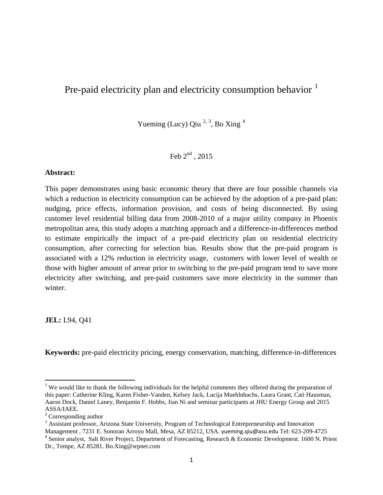# Pre-paid electricity plan and electricity consumption behavior  $<sup>1</sup>$  $<sup>1</sup>$  $<sup>1</sup>$ </sup>

Yueming (Lucy) Qiu  $2, 3$  $2, 3$  $2, 3$ , Bo Xing  $4$ 

Feb  $2<sup>nd</sup>$ , 2015

# **Abstract:**

This paper demonstrates using basic economic theory that there are four possible channels via which a reduction in electricity consumption can be achieved by the adoption of a pre-paid plan: nudging, price effects, information provision, and costs of being disconnected. By using customer level residential billing data from 2008-2010 of a major utility company in Phoenix metropolitan area, this study adopts a matching approach and a difference-in-differences method to estimate empirically the impact of a pre-paid electricity plan on residential electricity consumption, after correcting for selection bias. Results show that the pre-paid program is associated with a 12% reduction in electricity usage, customers with lower level of wealth or those with higher amount of arrear prior to switching to the pre-paid program tend to save more electricity after switching, and pre-paid customers save more electricity in the summer than winter.

**JEL:** L94, Q41

**Keywords:** pre-paid electricity pricing, energy conservation, matching, difference-in-differences

<span id="page-0-0"></span><sup>&</sup>lt;sup>1</sup> We would like to thank the following individuals for the helpful comments they offered during the preparation of this paper: Catherine Kling, Karen Fisher-Vanden, Kelsey Jack, Lucija Muehlnbachs, Laura Grant, Cati Hausman, Aaron Dock, Daniel Laney, Benjamin F. Hobbs, Jian Ni and seminar participants at JHU Energy Group and 2015 ASSA/IAEE.

<span id="page-0-1"></span><sup>2</sup> Corresponding author

<span id="page-0-2"></span><sup>&</sup>lt;sup>3</sup> Assistant professor, Arizona State University, Program of Technological Entrepreneurship and Innovation

<span id="page-0-3"></span>Management , 7231 E. Sonoran Arroyo Mall, Mesa, AZ 85212, USA. yueming.qiu@asu.edu Tel: 623-209-4725 4 Senior analyst, Salt River Project, Department of Forecasting, Research & Economic Development. 1600 N. Priest Dr., Tempe, AZ 85281. Bo.Xing@srpnet.com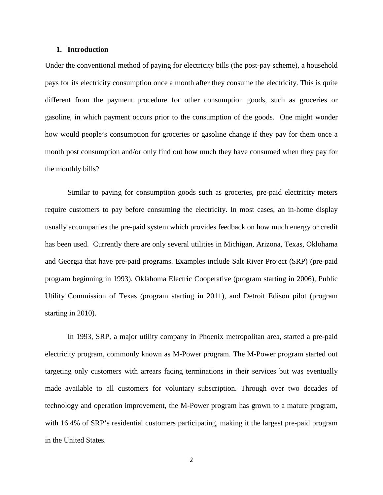# **1. Introduction**

Under the conventional method of paying for electricity bills (the post-pay scheme), a household pays for its electricity consumption once a month after they consume the electricity. This is quite different from the payment procedure for other consumption goods, such as groceries or gasoline, in which payment occurs prior to the consumption of the goods. One might wonder how would people's consumption for groceries or gasoline change if they pay for them once a month post consumption and/or only find out how much they have consumed when they pay for the monthly bills?

Similar to paying for consumption goods such as groceries, pre-paid electricity meters require customers to pay before consuming the electricity. In most cases, an in-home display usually accompanies the pre-paid system which provides feedback on how much energy or credit has been used. Currently there are only several utilities in Michigan, Arizona, Texas, Oklohama and Georgia that have pre-paid programs. Examples include Salt River Project (SRP) (pre-paid program beginning in 1993), Oklahoma Electric Cooperative (program starting in 2006), Public Utility Commission of Texas (program starting in 2011), and Detroit Edison pilot (program starting in 2010).

In 1993, SRP, a major utility company in Phoenix metropolitan area, started a pre-paid electricity program, commonly known as M-Power program. The M-Power program started out targeting only customers with arrears facing terminations in their services but was eventually made available to all customers for voluntary subscription. Through over two decades of technology and operation improvement, the M-Power program has grown to a mature program, with 16.4% of SRP's residential customers participating, making it the largest pre-paid program in the United States.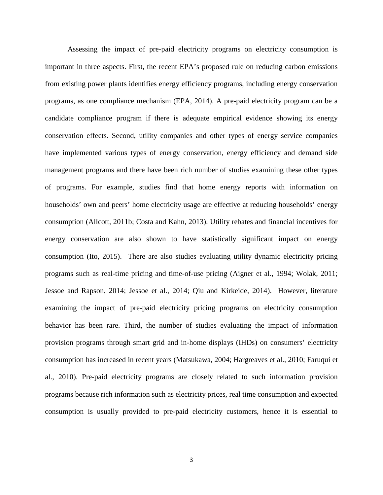Assessing the impact of pre-paid electricity programs on electricity consumption is important in three aspects. First, the recent EPA's proposed rule on reducing carbon emissions from existing power plants identifies energy efficiency programs, including energy conservation programs, as one compliance mechanism (EPA, 2014). A pre-paid electricity program can be a candidate compliance program if there is adequate empirical evidence showing its energy conservation effects. Second, utility companies and other types of energy service companies have implemented various types of energy conservation, energy efficiency and demand side management programs and there have been rich number of studies examining these other types of programs. For example, studies find that home energy reports with information on households' own and peers' home electricity usage are effective at reducing households' energy consumption (Allcott, 2011b; Costa and Kahn, 2013). Utility rebates and financial incentives for energy conservation are also shown to have statistically significant impact on energy consumption (Ito, 2015). There are also studies evaluating utility dynamic electricity pricing programs such as real-time pricing and time-of-use pricing (Aigner et al., 1994; Wolak, 2011; Jessoe and Rapson, 2014; Jessoe et al., 2014; Qiu and Kirkeide, 2014). However, literature examining the impact of pre-paid electricity pricing programs on electricity consumption behavior has been rare. Third, the number of studies evaluating the impact of information provision programs through smart grid and in-home displays (IHDs) on consumers' electricity consumption has increased in recent years (Matsukawa, 2004; Hargreaves et al., 2010; Faruqui et al., 2010). Pre-paid electricity programs are closely related to such information provision programs because rich information such as electricity prices, real time consumption and expected consumption is usually provided to pre-paid electricity customers, hence it is essential to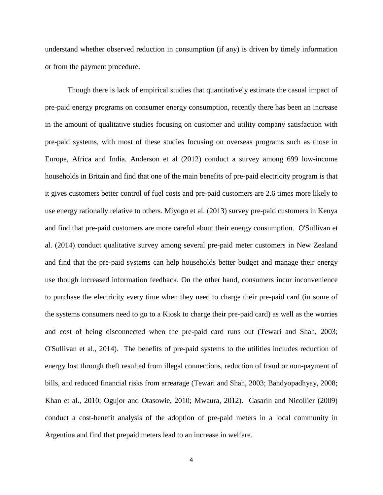understand whether observed reduction in consumption (if any) is driven by timely information or from the payment procedure.

Though there is lack of empirical studies that quantitatively estimate the casual impact of pre-paid energy programs on consumer energy consumption, recently there has been an increase in the amount of qualitative studies focusing on customer and utility company satisfaction with pre-paid systems, with most of these studies focusing on overseas programs such as those in Europe, Africa and India. Anderson et al (2012) conduct a survey among 699 low-income households in Britain and find that one of the main benefits of pre-paid electricity program is that it gives customers better control of fuel costs and pre-paid customers are 2.6 times more likely to use energy rationally relative to others. Miyogo et al. (2013) survey pre-paid customers in Kenya and find that pre-paid customers are more careful about their energy consumption. O'Sullivan et al. (2014) conduct qualitative survey among several pre-paid meter customers in New Zealand and find that the pre-paid systems can help households better budget and manage their energy use though increased information feedback. On the other hand, consumers incur inconvenience to purchase the electricity every time when they need to charge their pre-paid card (in some of the systems consumers need to go to a Kiosk to charge their pre-paid card) as well as the worries and cost of being disconnected when the pre-paid card runs out (Tewari and Shah, 2003; O'Sullivan et al., 2014). The benefits of pre-paid systems to the utilities includes reduction of energy lost through theft resulted from illegal connections, reduction of fraud or non-payment of bills, and reduced financial risks from arrearage (Tewari and Shah, 2003; Bandyopadhyay, 2008; Khan et al., 2010; Ogujor and Otasowie, 2010; Mwaura, 2012). Casarin and Nicollier (2009) conduct a cost-benefit analysis of the adoption of pre-paid meters in a local community in Argentina and find that prepaid meters lead to an increase in welfare.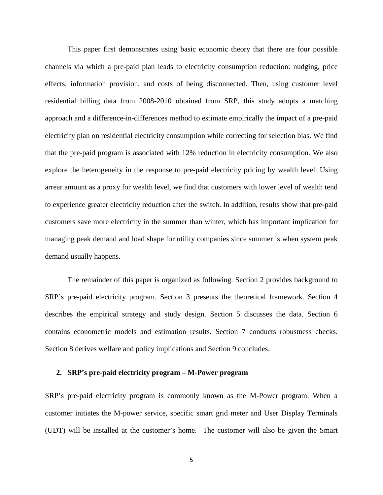This paper first demonstrates using basic economic theory that there are four possible channels via which a pre-paid plan leads to electricity consumption reduction: nudging, price effects, information provision, and costs of being disconnected. Then, using customer level residential billing data from 2008-2010 obtained from SRP, this study adopts a matching approach and a difference-in-differences method to estimate empirically the impact of a pre-paid electricity plan on residential electricity consumption while correcting for selection bias. We find that the pre-paid program is associated with 12% reduction in electricity consumption. We also explore the heterogeneity in the response to pre-paid electricity pricing by wealth level. Using arrear amount as a proxy for wealth level, we find that customers with lower level of wealth tend to experience greater electricity reduction after the switch. In addition, results show that pre-paid customers save more electricity in the summer than winter, which has important implication for managing peak demand and load shape for utility companies since summer is when system peak demand usually happens.

The remainder of this paper is organized as following. Section 2 provides background to SRP's pre-paid electricity program. Section 3 presents the theoretical framework. Section 4 describes the empirical strategy and study design. Section 5 discusses the data. Section 6 contains econometric models and estimation results. Section 7 conducts robustness checks. Section 8 derives welfare and policy implications and Section 9 concludes.

## **2. SRP's pre-paid electricity program – M-Power program**

SRP's pre-paid electricity program is commonly known as the M-Power program. When a customer initiates the M-power service, specific smart grid meter and User Display Terminals (UDT) will be installed at the customer's home. The customer will also be given the Smart

5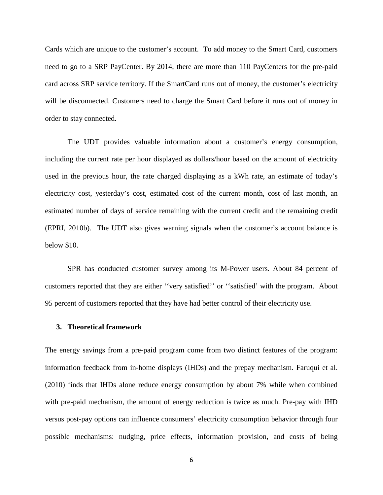Cards which are unique to the customer's account. To add money to the Smart Card, customers need to go to a SRP PayCenter. By 2014, there are more than 110 PayCenters for the pre-paid card across SRP service territory. If the SmartCard runs out of money, the customer's electricity will be disconnected. Customers need to charge the Smart Card before it runs out of money in order to stay connected.

The UDT provides valuable information about a customer's energy consumption, including the current rate per hour displayed as dollars/hour based on the amount of electricity used in the previous hour, the rate charged displaying as a kWh rate, an estimate of today's electricity cost, yesterday's cost, estimated cost of the current month, cost of last month, an estimated number of days of service remaining with the current credit and the remaining credit (EPRI, 2010b). The UDT also gives warning signals when the customer's account balance is below \$10.

SPR has conducted customer survey among its M-Power users. About 84 percent of customers reported that they are either ''very satisfied'' or ''satisfied' with the program. About 95 percent of customers reported that they have had better control of their electricity use.

#### **3. Theoretical framework**

The energy savings from a pre-paid program come from two distinct features of the program: information feedback from in-home displays (IHDs) and the prepay mechanism. Faruqui et al. (2010) finds that IHDs alone reduce energy consumption by about 7% while when combined with pre-paid mechanism, the amount of energy reduction is twice as much. Pre-pay with IHD versus post-pay options can influence consumers' electricity consumption behavior through four possible mechanisms: nudging, price effects, information provision, and costs of being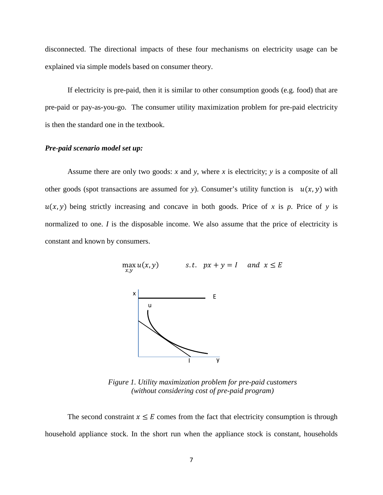disconnected. The directional impacts of these four mechanisms on electricity usage can be explained via simple models based on consumer theory.

If electricity is pre-paid, then it is similar to other consumption goods (e.g. food) that are pre-paid or pay-as-you-go. The consumer utility maximization problem for pre-paid electricity is then the standard one in the textbook.

# *Pre-paid scenario model set up:*

Assume there are only two goods: *x* and *y*, where *x* is electricity; *y* is a composite of all other goods (spot transactions are assumed for *y*). Consumer's utility function is  $u(x, y)$  with  $u(x, y)$  being strictly increasing and concave in both goods. Price of *x* is *p*. Price of *y* is normalized to one. *I* is the disposable income. We also assume that the price of electricity is constant and known by consumers.

> $\max_{x,y}$ s.t.  $px + y = 1$  and  $x \le E$ x y u I E

*Figure 1. Utility maximization problem for pre-paid customers (without considering cost of pre-paid program)*

The second constraint  $x \leq E$  comes from the fact that electricity consumption is through household appliance stock. In the short run when the appliance stock is constant, households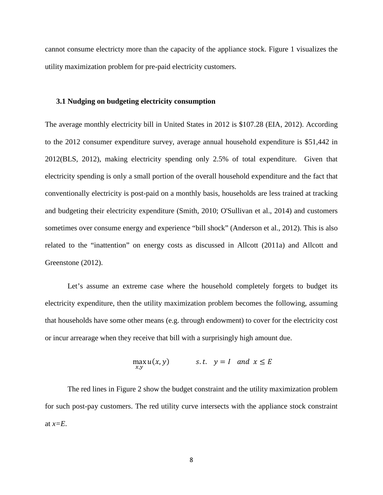cannot consume electricty more than the capacity of the appliance stock. Figure 1 visualizes the utility maximization problem for pre-paid electricity customers.

## **3.1 Nudging on budgeting electricity consumption**

The average monthly electricity bill in United States in 2012 is \$107.28 (EIA, 2012). According to the 2012 consumer expenditure survey, average annual household expenditure is \$51,442 in 2012(BLS, 2012), making electricity spending only 2.5% of total expenditure. Given that electricity spending is only a small portion of the overall household expenditure and the fact that conventionally electricity is post-paid on a monthly basis, households are less trained at tracking and budgeting their electricity expenditure (Smith, 2010; O'Sullivan et al., 2014) and customers sometimes over consume energy and experience "bill shock" (Anderson et al., 2012). This is also related to the "inattention" on energy costs as discussed in Allcott (2011a) and Allcott and Greenstone (2012).

Let's assume an extreme case where the household completely forgets to budget its electricity expenditure, then the utility maximization problem becomes the following, assuming that households have some other means (e.g. through endowment) to cover for the electricity cost or incur arrearage when they receive that bill with a surprisingly high amount due.

$$
\max_{x,y} u(x,y) \qquad s.t. \quad y = I \quad and \quad x \le E
$$

The red lines in Figure 2 show the budget constraint and the utility maximization problem for such post-pay customers. The red utility curve intersects with the appliance stock constraint at  $x=E$ .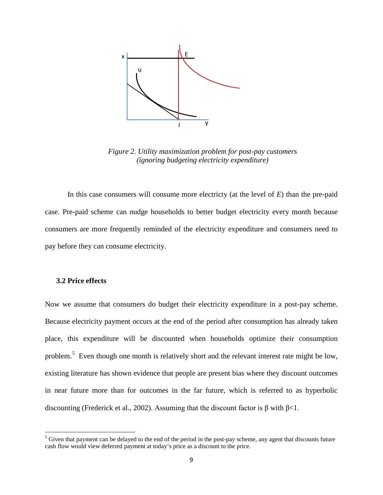

*Figure 2. Utility maximization problem for post-pay customers (ignoring budgeting electricity expenditure)*

In this case consumers will consume more electricty (at the level of *E*) than the pre-paid case. Pre-paid scheme can nudge households to better budget electricity every month because consumers are more frequently reminded of the electricity expenditure and consumers need to pay before they can consume electricity.

## **3.2 Price effects**

Now we assume that consumers do budget their electricity expenditure in a post-pay scheme. Because electricity payment occurs at the end of the period after consumption has already taken place, this expenditure will be discounted when households optimize their consumption problem.<sup>[5](#page-8-0)</sup> Even though one month is relatively short and the relevant interest rate might be low, existing literature has shown evidence that people are present bias where they discount outcomes in near future more than for outcomes in the far future, which is referred to as hyperbolic discounting (Frederick et al., 2002). Assuming that the discount factor is β with  $\beta$ <1.

<span id="page-8-0"></span> $<sup>5</sup>$  Given that payment can be delayed to the end of the period in the post-pay scheme, any agent that discounts future</sup> cash flow would view deferred payment at today's price as a discount to the price.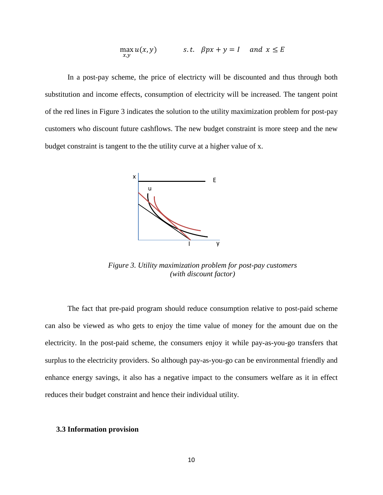$$
\max_{x,y} u(x,y) \qquad s.t. \quad \beta px + y = I \quad \text{and} \ \ x \le E
$$

In a post-pay scheme, the price of electricty will be discounted and thus through both substitution and income effects, consumption of electricity will be increased. The tangent point of the red lines in Figure 3 indicates the solution to the utility maximization problem for post-pay customers who discount future cashflows. The new budget constraint is more steep and the new budget constraint is tangent to the the utility curve at a higher value of x.



*Figure 3. Utility maximization problem for post-pay customers (with discount factor)*

The fact that pre-paid program should reduce consumption relative to post-paid scheme can also be viewed as who gets to enjoy the time value of money for the amount due on the electricity. In the post-paid scheme, the consumers enjoy it while pay-as-you-go transfers that surplus to the electricity providers. So although pay-as-you-go can be environmental friendly and enhance energy savings, it also has a negative impact to the consumers welfare as it in effect reduces their budget constraint and hence their individual utility.

# **3.3 Information provision**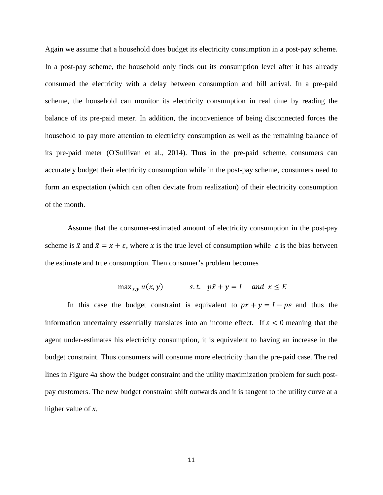Again we assume that a household does budget its electricity consumption in a post-pay scheme. In a post-pay scheme, the household only finds out its consumption level after it has already consumed the electricity with a delay between consumption and bill arrival. In a pre-paid scheme, the household can monitor its electricity consumption in real time by reading the balance of its pre-paid meter. In addition, the inconvenience of being disconnected forces the household to pay more attention to electricity consumption as well as the remaining balance of its pre-paid meter (O'Sullivan et al., 2014). Thus in the pre-paid scheme, consumers can accurately budget their electricity consumption while in the post-pay scheme, consumers need to form an expectation (which can often deviate from realization) of their electricity consumption of the month.

Assume that the consumer-estimated amount of electricity consumption in the post-pay scheme is  $\tilde{x}$  and  $\tilde{x} = x + \varepsilon$ , where x is the true level of consumption while  $\varepsilon$  is the bias between the estimate and true consumption. Then consumer's problem becomes

$$
\max_{x,y} u(x,y) \qquad \qquad s.t. \quad p\tilde{x} + y = I \quad \text{and} \ \ x \le E
$$

In this case the budget constraint is equivalent to  $px + y = 1 - p\varepsilon$  and thus the information uncertainty essentially translates into an income effect. If  $\varepsilon < 0$  meaning that the agent under-estimates his electricity consumption, it is equivalent to having an increase in the budget constraint. Thus consumers will consume more electricity than the pre-paid case. The red lines in Figure 4a show the budget constraint and the utility maximization problem for such postpay customers. The new budget constraint shift outwards and it is tangent to the utility curve at a higher value of *x*.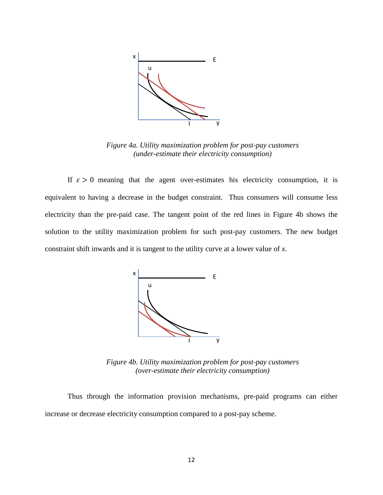

*Figure 4a. Utility maximization problem for post-pay customers (under-estimate their electricity consumption)*

If  $\varepsilon > 0$  meaning that the agent over-estimates his electricity consumption, it is equivalent to having a decrease in the budget constraint. Thus consumers will consume less electricity than the pre-paid case. The tangent point of the red lines in Figure 4b shows the solution to the utility maximization problem for such post-pay customers. The new budget constraint shift inwards and it is tangent to the utility curve at a lower value of *x*.



*Figure 4b. Utility maximization problem for post-pay customers (over-estimate their electricity consumption)*

Thus through the information provision mechanisms, pre-paid programs can either increase or decrease electricity consumption compared to a post-pay scheme.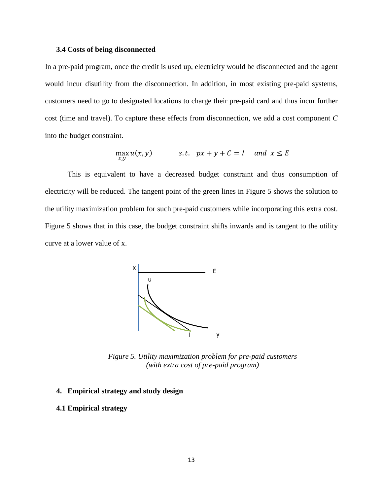## **3.4 Costs of being disconnected**

In a pre-paid program, once the credit is used up, electricity would be disconnected and the agent would incur disutility from the disconnection. In addition, in most existing pre-paid systems, customers need to go to designated locations to charge their pre-paid card and thus incur further cost (time and travel). To capture these effects from disconnection, we add a cost component *C* into the budget constraint.

$$
\max_{x,y} u(x,y) \qquad s.t. \quad px+y+C=1 \quad and \quad x \le E
$$

This is equivalent to have a decreased budget constraint and thus consumption of electricity will be reduced. The tangent point of the green lines in Figure 5 shows the solution to the utility maximization problem for such pre-paid customers while incorporating this extra cost. Figure 5 shows that in this case, the budget constraint shifts inwards and is tangent to the utility curve at a lower value of x.



*Figure 5. Utility maximization problem for pre-paid customers (with extra cost of pre-paid program)*

# **4. Empirical strategy and study design**

# **4.1 Empirical strategy**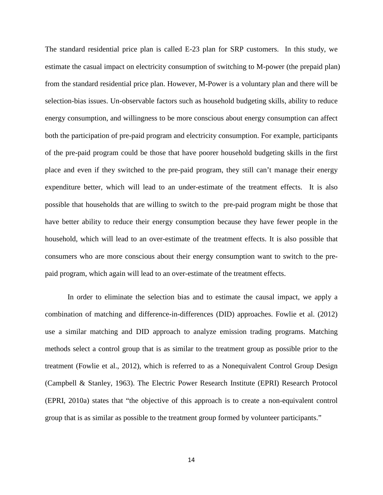The standard residential price plan is called E-23 plan for SRP customers. In this study, we estimate the casual impact on electricity consumption of switching to M-power (the prepaid plan) from the standard residential price plan. However, M-Power is a voluntary plan and there will be selection-bias issues. Un-observable factors such as household budgeting skills, ability to reduce energy consumption, and willingness to be more conscious about energy consumption can affect both the participation of pre-paid program and electricity consumption. For example, participants of the pre-paid program could be those that have poorer household budgeting skills in the first place and even if they switched to the pre-paid program, they still can't manage their energy expenditure better, which will lead to an under-estimate of the treatment effects. It is also possible that households that are willing to switch to the pre-paid program might be those that have better ability to reduce their energy consumption because they have fewer people in the household, which will lead to an over-estimate of the treatment effects. It is also possible that consumers who are more conscious about their energy consumption want to switch to the prepaid program, which again will lead to an over-estimate of the treatment effects.

In order to eliminate the selection bias and to estimate the causal impact, we apply a combination of matching and difference-in-differences (DID) approaches. Fowlie et al. (2012) use a similar matching and DID approach to analyze emission trading programs. Matching methods select a control group that is as similar to the treatment group as possible prior to the treatment (Fowlie et al., 2012), which is referred to as a Nonequivalent Control Group Design (Campbell & Stanley, 1963). The Electric Power Research Institute (EPRI) Research Protocol (EPRI, 2010a) states that "the objective of this approach is to create a non-equivalent control group that is as similar as possible to the treatment group formed by volunteer participants."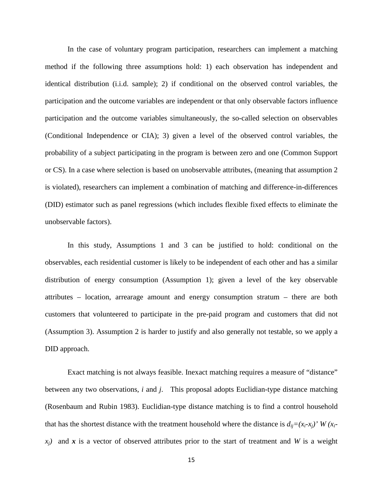In the case of voluntary program participation, researchers can implement a matching method if the following three assumptions hold: 1) each observation has independent and identical distribution (i.i.d. sample); 2) if conditional on the observed control variables, the participation and the outcome variables are independent or that only observable factors influence participation and the outcome variables simultaneously, the so-called selection on observables (Conditional Independence or CIA); 3) given a level of the observed control variables, the probability of a subject participating in the program is between zero and one (Common Support or CS). In a case where selection is based on unobservable attributes, (meaning that assumption 2 is violated), researchers can implement a combination of matching and difference-in-differences (DID) estimator such as panel regressions (which includes flexible fixed effects to eliminate the unobservable factors).

In this study, Assumptions 1 and 3 can be justified to hold: conditional on the observables, each residential customer is likely to be independent of each other and has a similar distribution of energy consumption (Assumption 1); given a level of the key observable attributes – location, arrearage amount and energy consumption stratum – there are both customers that volunteered to participate in the pre-paid program and customers that did not (Assumption 3). Assumption 2 is harder to justify and also generally not testable, so we apply a DID approach.

Exact matching is not always feasible. Inexact matching requires a measure of "distance" between any two observations, *i* and *j*. This proposal adopts Euclidian-type distance matching (Rosenbaum and Rubin 1983). Euclidian-type distance matching is to find a control household that has the shortest distance with the treatment household where the distance is  $d_{ij} = (x_i - x_j)' W(x_i - y_j)$  $x_i$ ) and x is a vector of observed attributes prior to the start of treatment and *W* is a weight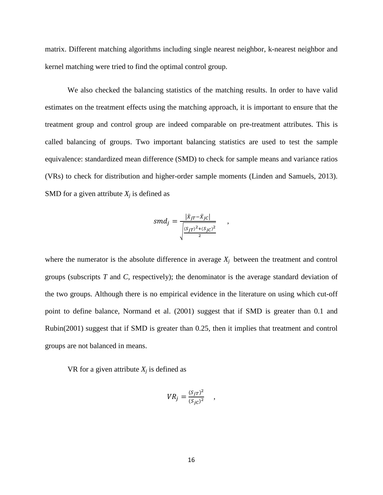matrix. Different matching algorithms including single nearest neighbor, k-nearest neighbor and kernel matching were tried to find the optimal control group.

We also checked the balancing statistics of the matching results. In order to have valid estimates on the treatment effects using the matching approach, it is important to ensure that the treatment group and control group are indeed comparable on pre-treatment attributes. This is called balancing of groups. Two important balancing statistics are used to test the sample equivalence: standardized mean difference (SMD) to check for sample means and variance ratios (VRs) to check for distribution and higher-order sample moments (Linden and Samuels, 2013). SMD for a given attribute  $X_i$  is defined as

$$
smd_j = \frac{|\bar{x}_{jT} - \bar{x}_{jC}|}{\sqrt{\frac{(S_{jT})^2 + (S_{jC})^2}{2}}},
$$

where the numerator is the absolute difference in average  $X_i$  between the treatment and control groups (subscripts *T* and *C*, respectively); the denominator is the average standard deviation of the two groups. Although there is no empirical evidence in the literature on using which cut-off point to define balance, Normand et al. (2001) suggest that if SMD is greater than 0.1 and Rubin(2001) suggest that if SMD is greater than 0.25, then it implies that treatment and control groups are not balanced in means.

VR for a given attribute  $X_i$  is defined as

$$
VR_j = \frac{(S_{jT})^2}{(S_{jC})^2} \quad ,
$$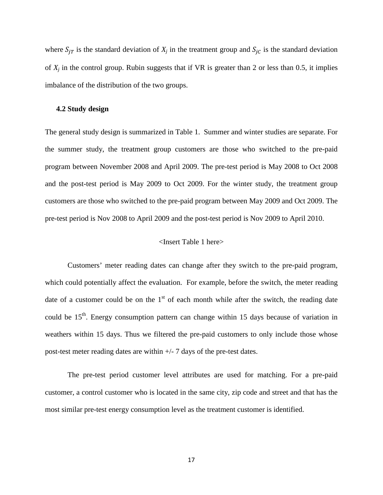where  $S_{iT}$  is the standard deviation of  $X_j$  in the treatment group and  $S_{iC}$  is the standard deviation of  $X_i$  in the control group. Rubin suggests that if  $VR$  is greater than 2 or less than 0.5, it implies imbalance of the distribution of the two groups.

## **4.2 Study design**

The general study design is summarized in Table 1. Summer and winter studies are separate. For the summer study, the treatment group customers are those who switched to the pre-paid program between November 2008 and April 2009. The pre-test period is May 2008 to Oct 2008 and the post-test period is May 2009 to Oct 2009. For the winter study, the treatment group customers are those who switched to the pre-paid program between May 2009 and Oct 2009. The pre-test period is Nov 2008 to April 2009 and the post-test period is Nov 2009 to April 2010.

# <Insert Table 1 here>

Customers' meter reading dates can change after they switch to the pre-paid program, which could potentially affect the evaluation. For example, before the switch, the meter reading date of a customer could be on the  $1<sup>st</sup>$  of each month while after the switch, the reading date could be 15<sup>th</sup>. Energy consumption pattern can change within 15 days because of variation in weathers within 15 days. Thus we filtered the pre-paid customers to only include those whose post-test meter reading dates are within  $+/- 7$  days of the pre-test dates.

The pre-test period customer level attributes are used for matching. For a pre-paid customer, a control customer who is located in the same city, zip code and street and that has the most similar pre-test energy consumption level as the treatment customer is identified.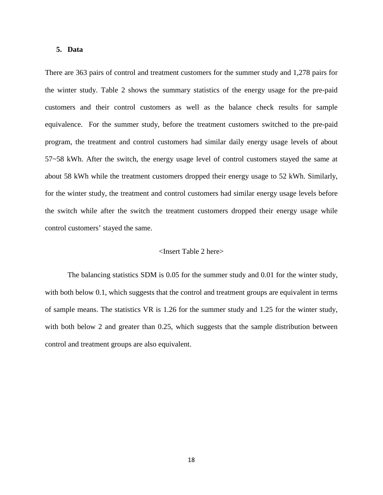## **5. Data**

There are 363 pairs of control and treatment customers for the summer study and 1,278 pairs for the winter study. Table 2 shows the summary statistics of the energy usage for the pre-paid customers and their control customers as well as the balance check results for sample equivalence. For the summer study, before the treatment customers switched to the pre-paid program, the treatment and control customers had similar daily energy usage levels of about 57~58 kWh. After the switch, the energy usage level of control customers stayed the same at about 58 kWh while the treatment customers dropped their energy usage to 52 kWh. Similarly, for the winter study, the treatment and control customers had similar energy usage levels before the switch while after the switch the treatment customers dropped their energy usage while control customers' stayed the same.

# <Insert Table 2 here>

The balancing statistics SDM is 0.05 for the summer study and 0.01 for the winter study, with both below 0.1, which suggests that the control and treatment groups are equivalent in terms of sample means. The statistics VR is 1.26 for the summer study and 1.25 for the winter study, with both below 2 and greater than 0.25, which suggests that the sample distribution between control and treatment groups are also equivalent.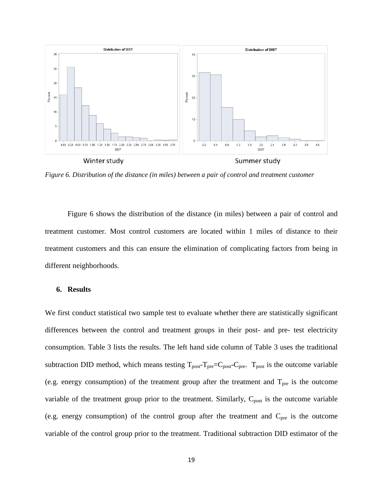

*Figure 6. Distribution of the distance (in miles) between a pair of control and treatment customer*

Figure 6 shows the distribution of the distance (in miles) between a pair of control and treatment customer. Most control customers are located within 1 miles of distance to their treatment customers and this can ensure the elimination of complicating factors from being in different neighborhoods.

# **6. Results**

We first conduct statistical two sample test to evaluate whether there are statistically significant differences between the control and treatment groups in their post- and pre- test electricity consumption. Table 3 lists the results. The left hand side column of Table 3 uses the traditional subtraction DID method, which means testing  $T_{\text{post}}-T_{\text{pre}}=C_{\text{post}}-C_{\text{pre}}$ .  $T_{\text{post}}$  is the outcome variable (e.g. energy consumption) of the treatment group after the treatment and  $T_{pre}$  is the outcome variable of the treatment group prior to the treatment. Similarly,  $C_{\text{post}}$  is the outcome variable (e.g. energy consumption) of the control group after the treatment and  $C_{pre}$  is the outcome variable of the control group prior to the treatment. Traditional subtraction DID estimator of the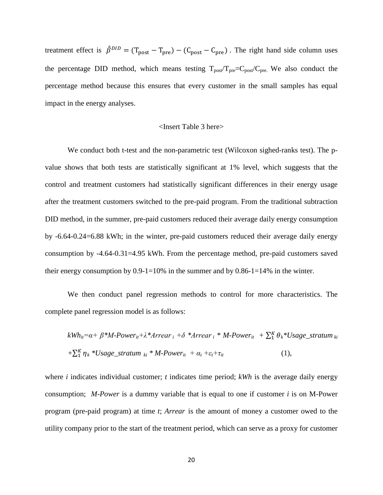treatment effect is  $\hat{\beta}^{DID} = (T_{post} - T_{pre}) - (C_{post} - C_{pre})$ . The right hand side column uses the percentage DID method, which means testing  $T_{post}/T_{pre}=C_{post}/C_{pre}$ . We also conduct the percentage method because this ensures that every customer in the small samples has equal impact in the energy analyses.

#### <Insert Table 3 here>

We conduct both t-test and the non-parametric test (Wilcoxon sighed-ranks test). The pvalue shows that both tests are statistically significant at 1% level, which suggests that the control and treatment customers had statistically significant differences in their energy usage after the treatment customers switched to the pre-paid program. From the traditional subtraction DID method, in the summer, pre-paid customers reduced their average daily energy consumption by -6.64-0.24=6.88 kWh; in the winter, pre-paid customers reduced their average daily energy consumption by -4.64-0.31=4.95 kWh. From the percentage method, pre-paid customers saved their energy consumption by  $0.9-1=10\%$  in the summer and by  $0.86-1=14\%$  in the winter.

We then conduct panel regression methods to control for more characteristics. The complete panel regression model is as follows:

$$
kWh_{ii} = \alpha + \beta * M\text{-}Power_{it} + \lambda *Arear_i + \delta *Arear_i * M\text{-}Power_{it} + \sum_{1}^{K} \theta_k * Usage\_stratum_{ki}
$$

$$
+ \sum_{1}^{K} \eta_k * Usage\_stratum_{ki} * M\text{-}Power_{it} + \alpha_i + \varepsilon_t + \tau_{it}
$$
(1),

where *i* indicates individual customer; *t* indicates time period; *kWh* is the average daily energy consumption; *M-Power* is a dummy variable that is equal to one if customer *i* is on M-Power program (pre-paid program) at time *t*; *Arrear* is the amount of money a customer owed to the utility company prior to the start of the treatment period, which can serve as a proxy for customer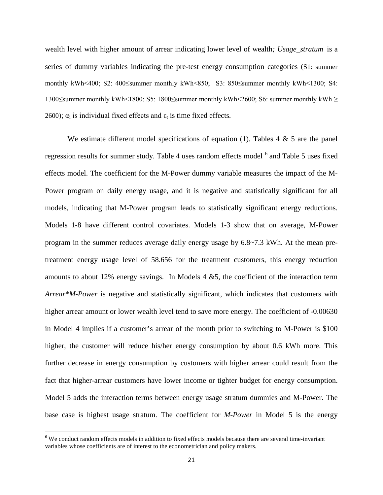wealth level with higher amount of arrear indicating lower level of wealth*; Usage\_stratum* is a series of dummy variables indicating the pre-test energy consumption categories (S1: summer monthly kWh<400; S2: 400≤summer monthly kWh<850; S3: 850≤summer monthly kWh<1300; S4: 1300≤summer monthly kWh<1800; S5: 1800≤summer monthly kWh<2600; S6: summer monthly kWh ≥ 2600);  $\alpha_i$  is individual fixed effects and  $\epsilon_t$  is time fixed effects.

We estimate different model specifications of equation (1). Tables  $4 \& 5$  are the panel regression results for summer study. Table 4 uses random effects model <sup>[6](#page-20-0)</sup> and Table 5 uses fixed effects model. The coefficient for the M-Power dummy variable measures the impact of the M-Power program on daily energy usage, and it is negative and statistically significant for all models, indicating that M-Power program leads to statistically significant energy reductions. Models 1-8 have different control covariates. Models 1-3 show that on average, M-Power program in the summer reduces average daily energy usage by 6.8~7.3 kWh. At the mean pretreatment energy usage level of 58.656 for the treatment customers, this energy reduction amounts to about 12% energy savings. In Models  $4 \& 5$ , the coefficient of the interaction term *Arrear\*M-Power* is negative and statistically significant, which indicates that customers with higher arrear amount or lower wealth level tend to save more energy. The coefficient of -0.00630 in Model 4 implies if a customer's arrear of the month prior to switching to M-Power is \$100 higher, the customer will reduce his/her energy consumption by about 0.6 kWh more. This further decrease in energy consumption by customers with higher arrear could result from the fact that higher-arrear customers have lower income or tighter budget for energy consumption. Model 5 adds the interaction terms between energy usage stratum dummies and M-Power. The base case is highest usage stratum. The coefficient for *M-Power* in Model 5 is the energy

<span id="page-20-0"></span><sup>&</sup>lt;sup>6</sup> We conduct random effects models in addition to fixed effects models because there are several time-invariant variables whose coefficients are of interest to the econometrician and policy makers.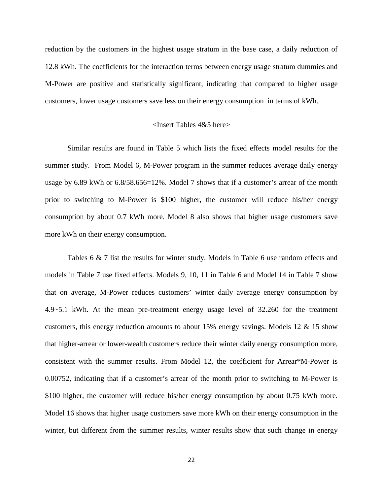reduction by the customers in the highest usage stratum in the base case, a daily reduction of 12.8 kWh. The coefficients for the interaction terms between energy usage stratum dummies and M-Power are positive and statistically significant, indicating that compared to higher usage customers, lower usage customers save less on their energy consumption in terms of kWh.

# <Insert Tables 4&5 here>

Similar results are found in Table 5 which lists the fixed effects model results for the summer study. From Model 6, M-Power program in the summer reduces average daily energy usage by 6.89 kWh or 6.8/58.656=12%. Model 7 shows that if a customer's arrear of the month prior to switching to M-Power is \$100 higher, the customer will reduce his/her energy consumption by about 0.7 kWh more. Model 8 also shows that higher usage customers save more kWh on their energy consumption.

Tables 6 & 7 list the results for winter study. Models in Table 6 use random effects and models in Table 7 use fixed effects. Models 9, 10, 11 in Table 6 and Model 14 in Table 7 show that on average, M-Power reduces customers' winter daily average energy consumption by 4.9~5.1 kWh. At the mean pre-treatment energy usage level of 32.260 for the treatment customers, this energy reduction amounts to about 15% energy savings. Models 12 & 15 show that higher-arrear or lower-wealth customers reduce their winter daily energy consumption more, consistent with the summer results. From Model 12, the coefficient for Arrear\*M-Power is 0.00752, indicating that if a customer's arrear of the month prior to switching to M-Power is \$100 higher, the customer will reduce his/her energy consumption by about 0.75 kWh more. Model 16 shows that higher usage customers save more kWh on their energy consumption in the winter, but different from the summer results, winter results show that such change in energy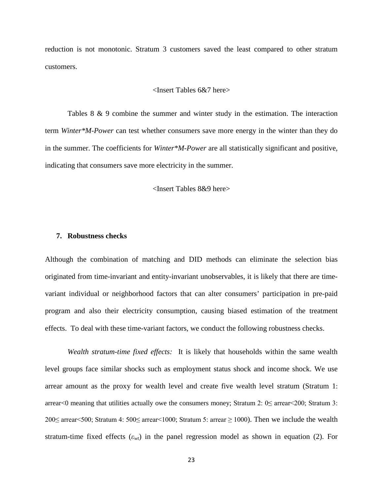reduction is not monotonic. Stratum 3 customers saved the least compared to other stratum customers.

# <Insert Tables 6&7 here>

Tables 8 & 9 combine the summer and winter study in the estimation. The interaction term *Winter\*M-Power* can test whether consumers save more energy in the winter than they do in the summer. The coefficients for *Winter\*M-Power* are all statistically significant and positive, indicating that consumers save more electricity in the summer.

<Insert Tables 8&9 here>

#### **7. Robustness checks**

Although the combination of matching and DID methods can eliminate the selection bias originated from time-invariant and entity-invariant unobservables, it is likely that there are timevariant individual or neighborhood factors that can alter consumers' participation in pre-paid program and also their electricity consumption, causing biased estimation of the treatment effects. To deal with these time-variant factors, we conduct the following robustness checks.

*Wealth stratum-time fixed effects:* It is likely that households within the same wealth level groups face similar shocks such as employment status shock and income shock. We use arrear amount as the proxy for wealth level and create five wealth level stratum (Stratum 1: arrear<0 meaning that utilities actually owe the consumers money; Stratum 2:  $0 \leq$  arrear <200; Stratum 3: 200≤ arrear<500; Stratum 4: 500≤ arrear<1000; Stratum 5: arrear ≥ 1000). Then we include the wealth stratum-time fixed effects (*εwt*) in the panel regression model as shown in equation (2). For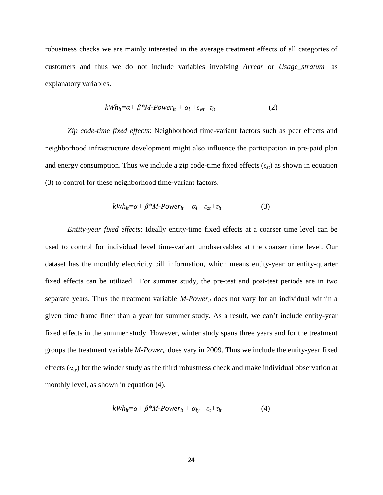robustness checks we are mainly interested in the average treatment effects of all categories of customers and thus we do not include variables involving *Arrear* or *Usage\_stratum* as explanatory variables.

$$
kWh_{it} = \alpha + \beta * M\text{-}Power_{it} + \alpha_i + \varepsilon_{wt} + \tau_{it}
$$
\n<sup>(2)</sup>

*Zip code-time fixed effects*: Neighborhood time-variant factors such as peer effects and neighborhood infrastructure development might also influence the participation in pre-paid plan and energy consumption. Thus we include a zip code-time fixed effects  $(\varepsilon_{zt})$  as shown in equation (3) to control for these neighborhood time-variant factors.

$$
kWh_{it} = \alpha + \beta * M\text{-}Power_{it} + \alpha_i + \varepsilon_{zt} + \tau_{it}
$$
\n<sup>(3)</sup>

*Entity-year fixed effects*: Ideally entity-time fixed effects at a coarser time level can be used to control for individual level time-variant unobservables at the coarser time level. Our dataset has the monthly electricity bill information, which means entity-year or entity-quarter fixed effects can be utilized. For summer study, the pre-test and post-test periods are in two separate years. Thus the treatment variable *M-Power<sub>it</sub>* does not vary for an individual within a given time frame finer than a year for summer study. As a result, we can't include entity-year fixed effects in the summer study. However, winter study spans three years and for the treatment groups the treatment variable *M-Powerit* does vary in 2009. Thus we include the entity-year fixed effects  $(a_i)$  for the winder study as the third robustness check and make individual observation at monthly level, as shown in equation (4).

$$
kWh_{it} = \alpha + \beta * M\text{-}Power_{it} + \alpha_{iy} + \varepsilon_t + \tau_{it}
$$
 (4)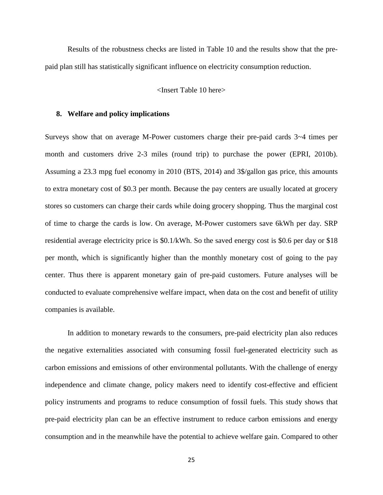Results of the robustness checks are listed in Table 10 and the results show that the prepaid plan still has statistically significant influence on electricity consumption reduction.

# <Insert Table 10 here>

## **8. Welfare and policy implications**

Surveys show that on average M-Power customers charge their pre-paid cards 3~4 times per month and customers drive 2-3 miles (round trip) to purchase the power (EPRI, 2010b). Assuming a 23.3 mpg fuel economy in 2010 (BTS, 2014) and 3\$/gallon gas price, this amounts to extra monetary cost of \$0.3 per month. Because the pay centers are usually located at grocery stores so customers can charge their cards while doing grocery shopping. Thus the marginal cost of time to charge the cards is low. On average, M-Power customers save 6kWh per day. SRP residential average electricity price is \$0.1/kWh. So the saved energy cost is \$0.6 per day or \$18 per month, which is significantly higher than the monthly monetary cost of going to the pay center. Thus there is apparent monetary gain of pre-paid customers. Future analyses will be conducted to evaluate comprehensive welfare impact, when data on the cost and benefit of utility companies is available.

In addition to monetary rewards to the consumers, pre-paid electricity plan also reduces the negative externalities associated with consuming fossil fuel-generated electricity such as carbon emissions and emissions of other environmental pollutants. With the challenge of energy independence and climate change, policy makers need to identify cost-effective and efficient policy instruments and programs to reduce consumption of fossil fuels. This study shows that pre-paid electricity plan can be an effective instrument to reduce carbon emissions and energy consumption and in the meanwhile have the potential to achieve welfare gain. Compared to other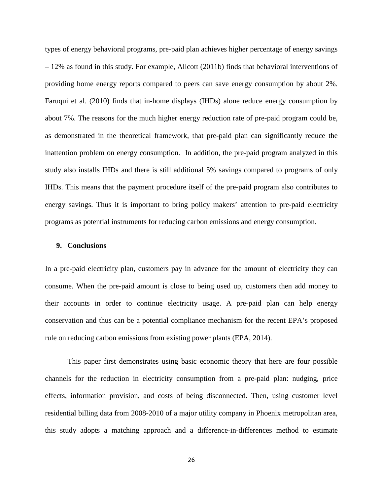types of energy behavioral programs, pre-paid plan achieves higher percentage of energy savings – 12% as found in this study. For example, Allcott (2011b) finds that behavioral interventions of providing home energy reports compared to peers can save energy consumption by about 2%. Faruqui et al. (2010) finds that in-home displays (IHDs) alone reduce energy consumption by about 7%. The reasons for the much higher energy reduction rate of pre-paid program could be, as demonstrated in the theoretical framework, that pre-paid plan can significantly reduce the inattention problem on energy consumption. In addition, the pre-paid program analyzed in this study also installs IHDs and there is still additional 5% savings compared to programs of only IHDs. This means that the payment procedure itself of the pre-paid program also contributes to energy savings. Thus it is important to bring policy makers' attention to pre-paid electricity programs as potential instruments for reducing carbon emissions and energy consumption.

# **9. Conclusions**

In a pre-paid electricity plan, customers pay in advance for the amount of electricity they can consume. When the pre-paid amount is close to being used up, customers then add money to their accounts in order to continue electricity usage. A pre-paid plan can help energy conservation and thus can be a potential compliance mechanism for the recent EPA's proposed rule on reducing carbon emissions from existing power plants (EPA, 2014).

This paper first demonstrates using basic economic theory that here are four possible channels for the reduction in electricity consumption from a pre-paid plan: nudging, price effects, information provision, and costs of being disconnected. Then, using customer level residential billing data from 2008-2010 of a major utility company in Phoenix metropolitan area, this study adopts a matching approach and a difference-in-differences method to estimate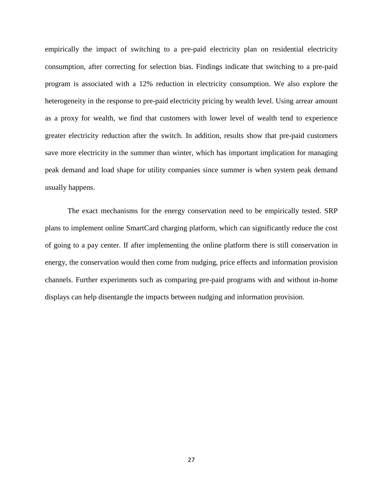empirically the impact of switching to a pre-paid electricity plan on residential electricity consumption, after correcting for selection bias. Findings indicate that switching to a pre-paid program is associated with a 12% reduction in electricity consumption. We also explore the heterogeneity in the response to pre-paid electricity pricing by wealth level. Using arrear amount as a proxy for wealth, we find that customers with lower level of wealth tend to experience greater electricity reduction after the switch. In addition, results show that pre-paid customers save more electricity in the summer than winter, which has important implication for managing peak demand and load shape for utility companies since summer is when system peak demand usually happens.

The exact mechanisms for the energy conservation need to be empirically tested. SRP plans to implement online SmartCard charging platform, which can significantly reduce the cost of going to a pay center. If after implementing the online platform there is still conservation in energy, the conservation would then come from nudging, price effects and information provision channels. Further experiments such as comparing pre-paid programs with and without in-home displays can help disentangle the impacts between nudging and information provision.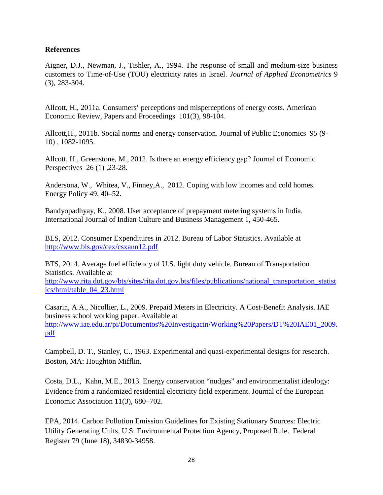# **References**

Aigner, D.J., Newman, J., Tishler, A., 1994. The response of small and medium-size business customers to Time-of-Use (TOU) electricity rates in Israel. *Journal of Applied Econometrics* 9 (3), 283-304.

Allcott, H., 2011a. Consumers' perceptions and misperceptions of energy costs. American Economic Review, Papers and Proceedings 101(3), 98-104.

Allcott,H., 2011b. Social norms and energy conservation. Journal of Public Economics 95 (9- 10) , 1082-1095.

Allcott, H., Greenstone, M., 2012. Is there an energy efficiency gap? Journal of Economic Perspectives 26 (1), 23-28.

Andersona, W., Whitea, V., Finney,A., 2012. Coping with low incomes and cold homes. Energy Policy 49, 40–52.

Bandyopadhyay, K., 2008. User acceptance of prepayment metering systems in India. International Journal of Indian Culture and Business Management 1, 450-465.

BLS, 2012. Consumer Expenditures in 2012. Bureau of Labor Statistics. Available at <http://www.bls.gov/cex/csxann12.pdf>

BTS, 2014. Average fuel efficiency of U.S. light duty vehicle. Bureau of Transportation Statistics. Available at

[http://www.rita.dot.gov/bts/sites/rita.dot.gov.bts/files/publications/national\\_transportation\\_statist](http://www.rita.dot.gov/bts/sites/rita.dot.gov.bts/files/publications/national_transportation_statistics/html/table_04_23.html) [ics/html/table\\_04\\_23.html](http://www.rita.dot.gov/bts/sites/rita.dot.gov.bts/files/publications/national_transportation_statistics/html/table_04_23.html)

Casarin, A.A., Nicollier, L., 2009. Prepaid Meters in Electricity. A Cost-Benefit Analysis. IAE business school working paper. Available at [http://www.iae.edu.ar/pi/Documentos%20Investigacin/Working%20Papers/DT%20IAE01\\_2009.](http://www.iae.edu.ar/pi/Documentos%20Investigacin/Working%20Papers/DT%20IAE01_2009.pdf) [pdf](http://www.iae.edu.ar/pi/Documentos%20Investigacin/Working%20Papers/DT%20IAE01_2009.pdf)

Campbell, D. T., Stanley, C., 1963. Experimental and quasi-experimental designs for research. Boston, MA: Houghton Mifflin.

Costa, D.L., Kahn, M.E., 2013. Energy conservation "nudges" and environmentalist ideology: Evidence from a randomized residential electricity field experiment. Journal of the European Economic Association 11(3), 680–702.

EPA, 2014. Carbon Pollution Emission Guidelines for Existing Stationary Sources: Electric Utility Generating Units, U.S. Environmental Protection Agency, Proposed Rule. Federal Register 79 (June 18), 34830-34958.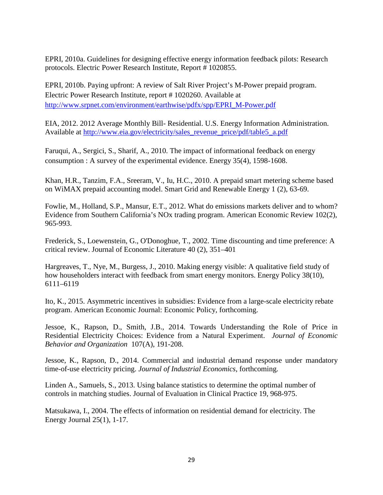EPRI, 2010a. Guidelines for designing effective energy information feedback pilots: Research protocols. Electric Power Research Institute, Report # 1020855.

EPRI, 2010b. Paying upfront: A review of Salt River Project's M-Power prepaid program. Electric Power Research Institute, report # 1020260. Available at [http://www.srpnet.com/environment/earthwise/pdfx/spp/EPRI\\_M-Power.pdf](http://www.srpnet.com/environment/earthwise/pdfx/spp/EPRI_MPower.pdf)

EIA, 2012. 2012 Average Monthly Bill- Residential. U.S. Energy Information Administration. Available at [http://www.eia.gov/electricity/sales\\_revenue\\_price/pdf/table5\\_a.pdf](http://www.eia.gov/electricity/sales_revenue_price/pdf/table5_a.pdf)

Faruqui, A., Sergici, S., Sharif, A., 2010. The impact of informational feedback on energy consumption : A survey of the experimental evidence. Energy 35(4), 1598-1608.

Khan, H.R., Tanzim, F.A., Sreeram, V., Iu, H.C., 2010. A prepaid smart metering scheme based on WiMAX prepaid accounting model. Smart Grid and Renewable Energy 1 (2), 63-69.

Fowlie, M., Holland, S.P., Mansur, E.T., 2012. What do emissions markets deliver and to whom? Evidence from Southern California's NOx trading program. American Economic Review 102(2), 965-993.

Frederick, S., Loewenstein, G., O'Donoghue, T., 2002. Time discounting and time preference: A critical review. Journal of Economic Literature 40 (2), 351–401

Hargreaves, T., Nye, M., Burgess, J., 2010. Making energy visible: A qualitative field study of how householders interact with feedback from smart energy monitors. Energy Policy 38(10), 6111–6119

Ito, K., 2015. Asymmetric incentives in subsidies: Evidence from a large-scale electricity rebate program. American Economic Journal: Economic Policy, forthcoming.

Jessoe, K., Rapson, D., Smith, J.B., 2014. Towards Understanding the Role of Price in Residential Electricity Choices: Evidence from a Natural Experiment. *Journal of Economic Behavior and Organization* 107(A), 191-208.

Jessoe, K., Rapson, D., 2014. Commercial and industrial demand response under mandatory time-of-use electricity pricing. *Journal of Industrial Economics*, forthcoming.

Linden A., Samuels, S., 2013. Using balance statistics to determine the optimal number of controls in matching studies. Journal of Evaluation in Clinical Practice 19, 968-975.

Matsukawa, I., 2004. The effects of information on residential demand for electricity. The Energy Journal 25(1), 1-17.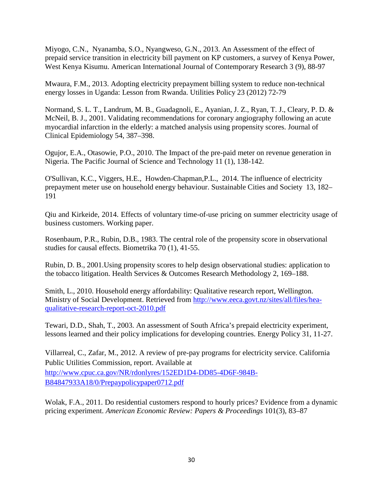Miyogo, C.N., Nyanamba, S.O., Nyangweso, G.N., 2013. An Assessment of the effect of prepaid service transition in electricity bill payment on KP customers, a survey of Kenya Power, West Kenya Kisumu. American International Journal of Contemporary Research 3 (9), 88-97

Mwaura, F.M., 2013. Adopting electricity prepayment billing system to reduce non-technical energy losses in Uganda: Lesson from Rwanda. Utilities Policy 23 (2012) 72-79

Normand, S. L. T., Landrum, M. B., Guadagnoli, E., Ayanian, J. Z., Ryan, T. J., Cleary, P. D. & McNeil, B. J., 2001. Validating recommendations for coronary angiography following an acute myocardial infarction in the elderly: a matched analysis using propensity scores. Journal of Clinical Epidemiology 54, 387–398.

Ogujor, E.A., Otasowie, P.O., 2010. The Impact of the pre-paid meter on revenue generation in Nigeria. The Pacific Journal of Science and Technology 11 (1), 138-142.

O'Sullivan, K.C., Viggers, H.E., Howden-Chapman,P.L., 2014. The influence of electricity prepayment meter use on household energy behaviour. Sustainable Cities and Society 13, 182– 191

Qiu and Kirkeide, 2014. Effects of voluntary time-of-use pricing on summer electricity usage of business customers. Working paper.

Rosenbaum, P.R., Rubin, D.B., 1983. The central role of the propensity score in observational studies for causal effects. Biometrika 70 (1), 41-55.

Rubin, D. B., 2001.Using propensity scores to help design observational studies: application to the tobacco litigation. Health Services & Outcomes Research Methodology 2, 169–188.

Smith, L., 2010. Household energy affordability: Qualitative research report, Wellington. Ministry of Social Development. Retrieved from [http://www.eeca.govt.nz/sites/all/files/hea](http://www.eeca.govt.nz/sites/all/files/hea-qualitative-research-report-oct-2010.pdf)[qualitative-research-report-oct-2010.pdf](http://www.eeca.govt.nz/sites/all/files/hea-qualitative-research-report-oct-2010.pdf)

Tewari, D.D., Shah, T., 2003. An assessment of South Africa's prepaid electricity experiment, lessons learned and their policy implications for developing countries. Energy Policy 31, 11-27.

Villarreal, C., Zafar, M., 2012. A review of pre-pay programs for electricity service. California Public Utilities Commission, report. Available at [http://www.cpuc.ca.gov/NR/rdonlyres/152ED1D4-DD85-4D6F-984B-](http://www.cpuc.ca.gov/NR/rdonlyres/152ED1D4-DD85-4D6F-984B-B84847933A18/0/Prepaypolicypaper0712.pdf)[B84847933A18/0/Prepaypolicypaper0712.pdf](http://www.cpuc.ca.gov/NR/rdonlyres/152ED1D4-DD85-4D6F-984B-B84847933A18/0/Prepaypolicypaper0712.pdf)

Wolak, F.A., 2011. Do residential customers respond to hourly prices? Evidence from a dynamic pricing experiment. *American Economic Review: Papers & Proceedings* 101(3), 83–87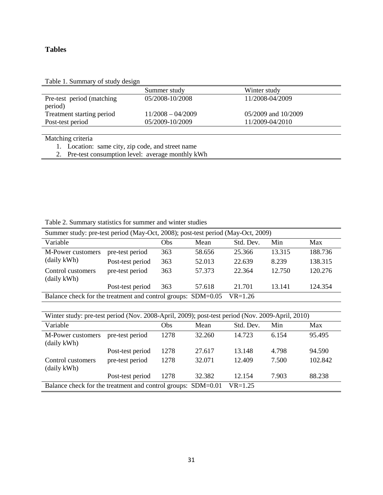# **Tables**

| Table 1. Summary of study design |  |  |  |  |  |  |
|----------------------------------|--|--|--|--|--|--|
|----------------------------------|--|--|--|--|--|--|

|                            | Summer study        | Winter study        |  |
|----------------------------|---------------------|---------------------|--|
| Pre-test period (matching) | 05/2008-10/2008     | 11/2008-04/2009     |  |
| period)                    |                     |                     |  |
| Treatment starting period  | $11/2008 - 04/2009$ | 05/2009 and 10/2009 |  |
| Post-test period           | 05/2009-10/2009     | 11/2009-04/2010     |  |

Matching criteria

- 1. Location: same city, zip code, and street name
- 2. Pre-test consumption level: average monthly kWh

| Twore my animally presented for penning enter where presented                   |                  |     |        |           |        |         |  |
|---------------------------------------------------------------------------------|------------------|-----|--------|-----------|--------|---------|--|
| Summer study: pre-test period (May-Oct, 2008); post-test period (May-Oct, 2009) |                  |     |        |           |        |         |  |
| Variable                                                                        |                  | Obs | Mean   | Std. Dev. | Min    | Max     |  |
| M-Power customers                                                               | pre-test period  | 363 | 58.656 | 25.366    | 13.315 | 188.736 |  |
| (daily kWh)                                                                     | Post-test period | 363 | 52.013 | 22.639    | 8.239  | 138.315 |  |
| Control customers<br>(daily kWh)                                                | pre-test period  | 363 | 57.373 | 22.364    | 12.750 | 120.276 |  |
|                                                                                 | Post-test period | 363 | 57.618 | 21.701    | 13.141 | 124.354 |  |

Table 2. Summary statistics for summer and winter studies

| Balance check for the treatment and control groups: SDM=0.05 VR=1.26 |  |  |
|----------------------------------------------------------------------|--|--|
|----------------------------------------------------------------------|--|--|

| Winter study: pre-test period (Nov. 2008-April, 2009); post-test period (Nov. 2009-April, 2010) |                  |      |        |           |       |         |
|-------------------------------------------------------------------------------------------------|------------------|------|--------|-----------|-------|---------|
| Variable                                                                                        |                  | Obs  | Mean   | Std. Dev. | Min   | Max     |
| M-Power customers<br>(daily kWh)                                                                | pre-test period  | 1278 | 32.260 | 14.723    | 6.154 | 95.495  |
|                                                                                                 | Post-test period | 1278 | 27.617 | 13.148    | 4.798 | 94.590  |
| Control customers<br>(daily kWh)                                                                | pre-test period  | 1278 | 32.071 | 12.409    | 7.500 | 102.842 |
|                                                                                                 | Post-test period | 1278 | 32.382 | 12.154    | 7.903 | 88.238  |
| Balance check for the treatment and control groups: SDM=0.01<br>$VR = 1.25$                     |                  |      |        |           |       |         |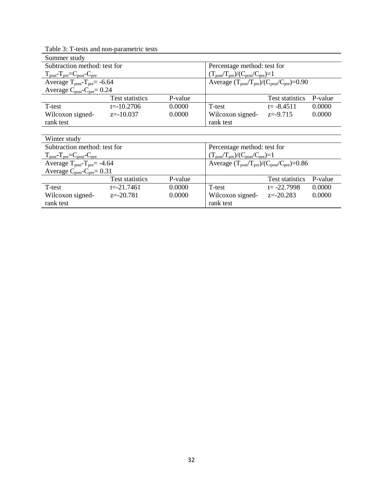| 1 toots and non parametric toots<br>Summer study                            |                        |         |                                                                       |                                                                                  |         |  |  |
|-----------------------------------------------------------------------------|------------------------|---------|-----------------------------------------------------------------------|----------------------------------------------------------------------------------|---------|--|--|
| Subtraction method: test for                                                |                        |         | Percentage method: test for                                           |                                                                                  |         |  |  |
| $T_{\text{post}}$ - $T_{\text{pre}}$ = $C_{\text{post}}$ - $C_{\text{pre}}$ |                        |         | $(T_{\text{post}}/T_{\text{pre}})/(C_{\text{post}}/C_{\text{pre}})=1$ |                                                                                  |         |  |  |
| Average $T_{post} - T_{pre} = -6.64$                                        |                        |         | Average $(T_{post}/T_{pre})/(C_{post}/C_{pre})=0.90$                  |                                                                                  |         |  |  |
| Average $C_{\text{post}}-C_{\text{pre}}=0.24$                               |                        |         |                                                                       |                                                                                  |         |  |  |
|                                                                             | Test statistics        | P-value |                                                                       | Test statistics                                                                  | P-value |  |  |
| T-test                                                                      | $t = -10.2706$         | 0.0000  | T-test                                                                | $t = -8.4511$                                                                    | 0.0000  |  |  |
| Wilcoxon signed-                                                            | $z=-10.037$            | 0.0000  | Wilcoxon signed-                                                      | $z = -9.715$                                                                     | 0.0000  |  |  |
| rank test                                                                   |                        |         | rank test                                                             |                                                                                  |         |  |  |
|                                                                             |                        |         |                                                                       |                                                                                  |         |  |  |
| Winter study                                                                |                        |         |                                                                       |                                                                                  |         |  |  |
| Subtraction method: test for                                                |                        |         | Percentage method: test for                                           |                                                                                  |         |  |  |
| $T_{\text{post}}$ - $T_{\text{pre}}$ = $C_{\text{post}}$ - $C_{\text{pre}}$ |                        |         | $(T_{\text{post}}/T_{\text{pre}})/(C_{\text{post}}/C_{\text{pre}})=1$ |                                                                                  |         |  |  |
| Average $T_{\text{post}}-T_{\text{pre}}= -4.64$                             |                        |         |                                                                       | Average $(T_{\text{post}}/T_{\text{pre}})/(C_{\text{post}}/C_{\text{pre}})=0.86$ |         |  |  |
| Average $C_{\text{post}}-C_{\text{pre}}=0.31$                               |                        |         |                                                                       |                                                                                  |         |  |  |
|                                                                             | <b>Test statistics</b> | P-value |                                                                       | <b>Test statistics</b>                                                           | P-value |  |  |
| T-test                                                                      | $t = -21.7461$         | 0.0000  | T-test                                                                | $t = -22.7998$                                                                   | 0.0000  |  |  |
| Wilcoxon signed-                                                            | $z = -20.781$          | 0.0000  | Wilcoxon signed-                                                      | $z = -20.283$                                                                    | 0.0000  |  |  |
| rank test                                                                   |                        |         | rank test                                                             |                                                                                  |         |  |  |

Table 3: T-tests and non-parametric tests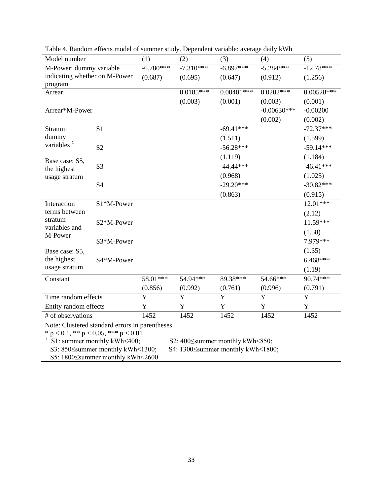| Model number                                   |                | (1)                   | (2)            | (3)                   | (4)           | (5)            |  |
|------------------------------------------------|----------------|-----------------------|----------------|-----------------------|---------------|----------------|--|
| M-Power: dummy variable                        |                | $-6.780***$           | $-7.310***$    | $-6.897***$           | $-5.284***$   | $-12.78***$    |  |
| indicating whether on M-Power<br>program       |                | (0.687)               | (0.695)        | (0.647)               | (0.912)       | (1.256)        |  |
| Arrear                                         |                |                       | $0.0185***$    | $0.00401***$          | $0.0202***$   | $0.00528***$   |  |
|                                                |                |                       | (0.003)        | (0.001)               | (0.003)       | (0.001)        |  |
| Arrear*M-Power                                 |                |                       |                |                       | $-0.00630***$ | $-0.00200$     |  |
|                                                |                |                       |                |                       | (0.002)       | (0.002)        |  |
| Stratum                                        | S <sub>1</sub> |                       |                | $-69.41***$           |               | $-72.37***$    |  |
| dummy                                          |                |                       |                | (1.511)               |               | (1.599)        |  |
| variables <sup>1</sup>                         | S <sub>2</sub> |                       |                | $-56.28***$           |               | $-59.14***$    |  |
|                                                |                |                       |                | (1.119)               |               | (1.184)        |  |
| Base case: S5,<br>the highest                  | S <sub>3</sub> |                       |                | $-44.44***$           |               | $-46.41***$    |  |
| usage stratum                                  |                |                       |                | (0.968)               |               | (1.025)        |  |
|                                                | S4             |                       |                | $-29.20***$           |               | $-30.82***$    |  |
|                                                |                |                       |                | (0.863)               |               | (0.915)        |  |
| Interaction                                    | S1*M-Power     |                       |                |                       |               | $12.01***$     |  |
| terms between                                  |                |                       |                |                       |               | (2.12)         |  |
| stratum                                        | S2*M-Power     |                       |                |                       |               | 11.59***       |  |
| variables and<br>M-Power                       |                |                       |                |                       |               | (1.58)         |  |
|                                                | S3*M-Power     |                       |                |                       |               | 7.979***       |  |
| Base case: S5,                                 |                |                       |                |                       |               | (1.35)         |  |
| the highest                                    | S4*M-Power     |                       |                |                       |               | 6.468***       |  |
| usage stratum                                  |                |                       |                |                       |               | (1.19)         |  |
| Constant                                       |                | 58.01***              | 54.94***       | 89.38***              | 54.66***      | 90.74***       |  |
|                                                |                | (0.856)               | (0.992)        | (0.761)               | (0.996)       | (0.791)        |  |
| Time random effects                            |                | $\overline{\text{Y}}$ | $\overline{Y}$ | $\overline{\text{Y}}$ | Y             | $\overline{Y}$ |  |
| Entity random effects                          |                | Y                     | $\mathbf Y$    | Y                     | Y             | Y              |  |
| # of observations                              |                | 1452                  | 1452           | 1452                  | 1452          | 1452           |  |
| Note: Clustered standard errors in parentheses |                |                       |                |                       |               |                |  |
| * $p < 0.1$ , ** $p < 0.05$ , *** $p < 0.01$   |                |                       |                |                       |               |                |  |

Table 4. Random effects model of summer study. Dependent variable: average daily kWh

<sup>1</sup> S1: summer monthly kWh<400; S2: 400 $\le$ summer monthly kWh<850;

S3: 850≤summer monthly kWh<1300; S4: 1300≤summer monthly kWh<1800;

S5: 1800≤summer monthly kWh<2600.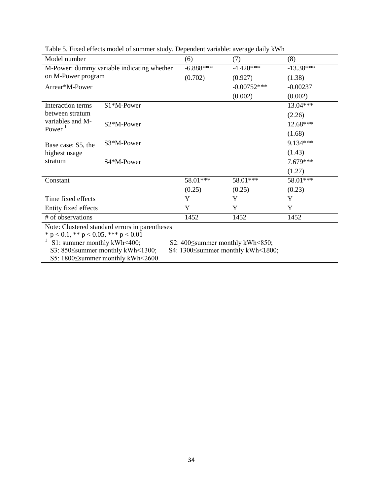| Model number                                 |                                                | (6)         | (7)           | (8)         |
|----------------------------------------------|------------------------------------------------|-------------|---------------|-------------|
| M-Power: dummy variable indicating whether   |                                                | $-6.888***$ | $-4.420***$   | $-13.38***$ |
| on M-Power program                           |                                                | (0.702)     | (0.927)       | (1.38)      |
| Arrear*M-Power                               |                                                |             | $-0.00752***$ | $-0.00237$  |
|                                              |                                                |             | (0.002)       | (0.002)     |
| Interaction terms                            | S1*M-Power                                     |             |               | 13.04***    |
| between stratum                              |                                                |             |               | (2.26)      |
| variables and M-<br>Power $1$                | S2*M-Power                                     |             |               | 12.68***    |
|                                              |                                                |             |               | (1.68)      |
| Base case: S5, the                           | S3*M-Power                                     |             |               | 9.134***    |
| highest usage                                |                                                |             |               | (1.43)      |
| stratum                                      | S4*M-Power                                     |             |               | 7.679***    |
|                                              |                                                |             |               | (1.27)      |
| Constant                                     |                                                | 58.01***    | 58.01***      | 58.01***    |
|                                              |                                                | (0.25)      | (0.25)        | (0.23)      |
| Time fixed effects                           |                                                | Y           | Y             | Y           |
| Entity fixed effects                         |                                                | Y           | Y             | Y           |
| # of observations                            |                                                | 1452        | 1452          | 1452        |
|                                              | Note: Clustered standard errors in parentheses |             |               |             |
| * $p < 0.1$ , ** $p < 0.05$ , *** $p < 0.01$ |                                                |             |               |             |

Table 5. Fixed effects model of summer study. Dependent variable: average daily kWh

\* p < 0.1, \*\* p < 0.05, \*\*\* p < 0.01

<sup>1</sup> S1: summer monthly kWh<400; S2: 400 $\le$ summer monthly kWh<850;

S3: 850≤summer monthly kWh<1300; S4: 1300≤summer monthly kWh<1800;

S5: 1800≤summer monthly kWh<2600.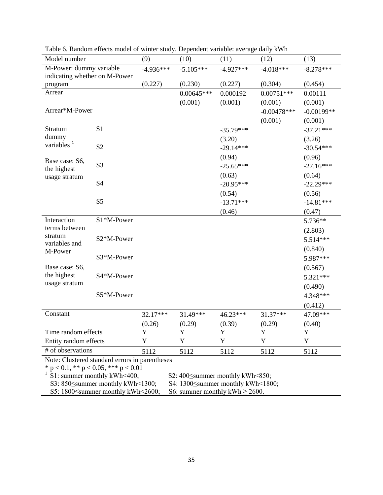| Model number                                                               |                                                | (9)         | (10)                                           | (11)        | (12)           | (13)         |
|----------------------------------------------------------------------------|------------------------------------------------|-------------|------------------------------------------------|-------------|----------------|--------------|
| M-Power: dummy variable                                                    |                                                | $-4.936***$ | $-5.105***$                                    | $-4.927***$ | $-4.018***$    | $-8.278***$  |
| indicating whether on M-Power                                              |                                                |             |                                                |             |                |              |
| program                                                                    |                                                | (0.227)     | (0.230)                                        | (0.227)     | (0.304)        | (0.454)      |
| Arrear                                                                     |                                                |             | $0.00645***$                                   | 0.000192    | $0.00751***$   | 0.00111      |
|                                                                            |                                                |             | (0.001)                                        | (0.001)     | (0.001)        | (0.001)      |
| Arrear*M-Power                                                             |                                                |             |                                                |             | $-0.00478$ *** | $-0.00199**$ |
|                                                                            |                                                |             |                                                |             | (0.001)        | (0.001)      |
| Stratum                                                                    | S <sub>1</sub>                                 |             |                                                | $-35.79***$ |                | $-37.21***$  |
| dummy<br>variables <sup>1</sup>                                            |                                                |             |                                                | (3.20)      |                | (3.26)       |
|                                                                            | S <sub>2</sub>                                 |             |                                                | $-29.14***$ |                | $-30.54***$  |
| Base case: S6,                                                             |                                                |             |                                                | (0.94)      |                | (0.96)       |
| the highest                                                                | S <sub>3</sub>                                 |             |                                                | $-25.65***$ |                | $-27.16***$  |
| usage stratum                                                              |                                                |             |                                                | (0.63)      |                | (0.64)       |
|                                                                            | S <sub>4</sub>                                 |             |                                                | $-20.95***$ |                | $-22.29***$  |
|                                                                            |                                                |             |                                                | (0.54)      |                | (0.56)       |
|                                                                            | S <sub>5</sub>                                 |             |                                                | $-13.71***$ |                | $-14.81***$  |
|                                                                            |                                                |             |                                                | (0.46)      |                | (0.47)       |
| Interaction                                                                | S1*M-Power                                     |             |                                                |             |                | 5.736**      |
| terms between                                                              |                                                |             |                                                |             |                | (2.803)      |
| stratum<br>variables and                                                   | S2*M-Power                                     |             |                                                |             |                | 5.514***     |
| M-Power                                                                    |                                                |             |                                                |             |                | (0.840)      |
|                                                                            | S3*M-Power                                     |             |                                                |             |                | 5.987***     |
| Base case: S6,                                                             |                                                |             |                                                |             |                | (0.567)      |
| the highest                                                                | S4*M-Power                                     |             |                                                |             |                | 5.321***     |
| usage stratum                                                              |                                                |             |                                                |             |                | (0.490)      |
|                                                                            | S5*M-Power                                     |             |                                                |             |                | 4.348***     |
|                                                                            |                                                |             |                                                |             |                | (0.412)      |
| Constant                                                                   |                                                | 32.17***    | 31.49***                                       | 46.23***    | 31.37***       | 47.09***     |
|                                                                            |                                                | (0.26)      | (0.29)                                         | (0.39)      | (0.29)         | (0.40)       |
| Time random effects                                                        |                                                | $\mathbf Y$ | $\mathbf Y$                                    | $\mathbf Y$ | Y              | $\mathbf Y$  |
| Entity random effects                                                      |                                                | Y           | Y                                              | Y           | Y              | Y            |
| # of observations                                                          |                                                | 5112        | 5112                                           | 5112        | 5112           | 5112         |
|                                                                            | Note: Clustered standard errors in parentheses |             |                                                |             |                |              |
|                                                                            | * $p < 0.1$ , ** $p < 0.05$ , *** $p < 0.01$   |             |                                                |             |                |              |
|                                                                            | S1: summer monthly kWh<400;                    |             | S2: $400 \leq$ summer monthly kWh $\leq 850$ ; |             |                |              |
|                                                                            | S3: 850 Summer monthly kWh < 1300;             |             | S4: 1300 Summer monthly kWh < 1800;            |             |                |              |
| S5: 1800 Summer monthly kWh < 2600;<br>S6: summer monthly kWh $\geq$ 2600. |                                                |             |                                                |             |                |              |

Table 6. Random effects model of winter study. Dependent variable: average daily kWh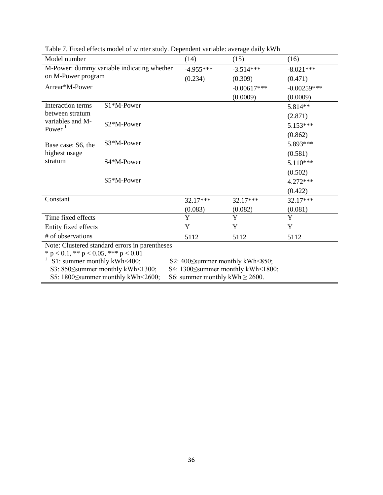| Model number                                 |                                                | (14)                                | (15)          | (16)          |  |
|----------------------------------------------|------------------------------------------------|-------------------------------------|---------------|---------------|--|
|                                              | M-Power: dummy variable indicating whether     | $-4.955***$                         | $-3.514***$   | $-8.021***$   |  |
| on M-Power program                           |                                                | (0.234)                             | (0.309)       | (0.471)       |  |
| Arrear*M-Power                               |                                                |                                     | $-0.00617***$ | $-0.00259***$ |  |
|                                              |                                                |                                     | (0.0009)      | (0.0009)      |  |
| Interaction terms                            | S1*M-Power                                     |                                     |               | 5.814**       |  |
| between stratum                              |                                                |                                     |               | (2.871)       |  |
| variables and M-<br>Power <sup>1</sup>       | S <sub>2</sub> *M-Power                        |                                     |               | 5.153***      |  |
|                                              |                                                |                                     |               | (0.862)       |  |
| Base case: S6, the                           | S3*M-Power                                     |                                     |               | 5.893***      |  |
| highest usage                                |                                                |                                     |               | (0.581)       |  |
| stratum                                      | S4*M-Power                                     |                                     |               | $5.110***$    |  |
|                                              |                                                |                                     |               | (0.502)       |  |
|                                              | S5*M-Power                                     |                                     |               | $4.272***$    |  |
|                                              |                                                |                                     |               | (0.422)       |  |
| Constant                                     |                                                | $32.17***$                          | 32.17***      | $32.17***$    |  |
|                                              |                                                | (0.083)                             | (0.082)       | (0.081)       |  |
| Time fixed effects                           |                                                | Y                                   | Y             | Y             |  |
| Entity fixed effects                         |                                                | Y                                   | Y             | Y             |  |
| # of observations                            |                                                | 5112                                | 5112          | 5112          |  |
|                                              | Note: Clustered standard errors in parentheses |                                     |               |               |  |
| * $p < 0.1$ , ** $p < 0.05$ , *** $p < 0.01$ |                                                |                                     |               |               |  |
| S1: summer monthly kWh<400;                  |                                                | S2: 400 Summer monthly kWh <850;    |               |               |  |
|                                              | S3: 850 Summer monthly kWh < 1300;             | S4: 1300≤summer monthly kWh<1800;   |               |               |  |
|                                              | S5: 1800 Summer monthly kWh < 2600;            | S6: summer monthly kWh $\geq$ 2600. |               |               |  |

Table 7. Fixed effects model of winter study. Dependent variable: average daily kWh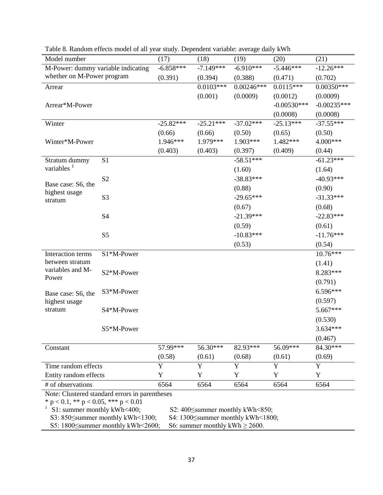| Model number                       |                | (17)        | (18)        | (19)         | (20)          | (21)          |
|------------------------------------|----------------|-------------|-------------|--------------|---------------|---------------|
| M-Power: dummy variable indicating |                | $-6.858***$ | $-7.149***$ | $-6.910***$  | $-5.446***$   | $-12.26***$   |
| whether on M-Power program         |                | (0.391)     | (0.394)     | (0.388)      | (0.471)       | (0.702)       |
| Arrear                             |                |             | $0.0103***$ | $0.00246***$ | $0.0115***$   | $0.00350***$  |
|                                    |                |             | (0.001)     | (0.0009)     | (0.0012)      | (0.0009)      |
| Arrear*M-Power                     |                |             |             |              | $-0.00530***$ | $-0.00235***$ |
|                                    |                |             |             |              | (0.0008)      | (0.0008)      |
| Winter                             |                | $-25.82***$ | $-25.21***$ | $-37.02***$  | $-25.13***$   | $-37.55***$   |
|                                    |                | (0.66)      | (0.66)      | (0.50)       | (0.65)        | (0.50)        |
| Winter*M-Power                     |                | 1.946***    | 1.979***    | 1.903***     | 1.482***      | 4.000***      |
|                                    |                | (0.403)     | (0.403)     | (0.397)      | (0.409)       | (0.44)        |
| Stratum dummy                      | S <sub>1</sub> |             |             | $-58.51***$  |               | $-61.23***$   |
| variables <sup>1</sup>             |                |             |             | (1.60)       |               | (1.64)        |
|                                    | S <sub>2</sub> |             |             | $-38.83***$  |               | $-40.93***$   |
| Base case: S6, the                 |                |             |             | (0.88)       |               | (0.90)        |
| highest usage<br>stratum           | S <sub>3</sub> |             |             | $-29.65***$  |               | $-31.33***$   |
|                                    |                |             |             | (0.67)       |               | (0.68)        |
|                                    | <b>S4</b>      |             |             | $-21.39***$  |               | $-22.83***$   |
|                                    |                |             |             | (0.59)       |               | (0.61)        |
|                                    | S <sub>5</sub> |             |             | $-10.83***$  |               | $-11.76***$   |
|                                    |                |             |             | (0.53)       |               | (0.54)        |
| Interaction terms                  | S1*M-Power     |             |             |              |               | $10.76***$    |
| between stratum                    |                |             |             |              |               | (1.41)        |
| variables and M-                   | S2*M-Power     |             |             |              |               | 8.283***      |
| Power                              |                |             |             |              |               | (0.791)       |
| Base case: S6, the                 | S3*M-Power     |             |             |              |               | 6.596***      |
| highest usage                      |                |             |             |              |               | (0.597)       |
| stratum                            | S4*M-Power     |             |             |              |               | 5.667***      |
|                                    |                |             |             |              |               | (0.530)       |
|                                    | S5*M-Power     |             |             |              |               | $3.634***$    |
|                                    |                |             |             |              |               | (0.467)       |
| Constant                           |                | 57.99***    | 56.30***    | 82.93***     | 56.09***      | 84.30***      |
|                                    |                | (0.58)      | (0.61)      | (0.68)       | (0.61)        | (0.69)        |
| Time random effects                |                | $\mathbf Y$ | Y           | $\mathbf Y$  | $\mathbf Y$   | $\mathbf Y$   |
| Entity random effects              |                | $\mathbf Y$ | Y           | Y            | $\mathbf Y$   | $\mathbf Y$   |
| # of observations                  |                | 6564        | 6564        | 6564         | 6564          | 6564          |
|                                    |                |             |             |              |               |               |

Table 8. Random effects model of all year study. Dependent variable: average daily kWh

Note: Clustered standard errors in parentheses

 $*$  p < 0.1,  $**$  p < 0.05,  $***$  p < 0.01

<sup>1</sup> S1: summer monthly kWh<400; S2: 400 $\le$ summer monthly kWh<850;

S3: 850≤summer monthly kWh<1300; S4: 1300≤summer monthly kWh<1800;

S5: 1800≤summer monthly kWh<2600; S6: summer monthly kWh ≥ 2600.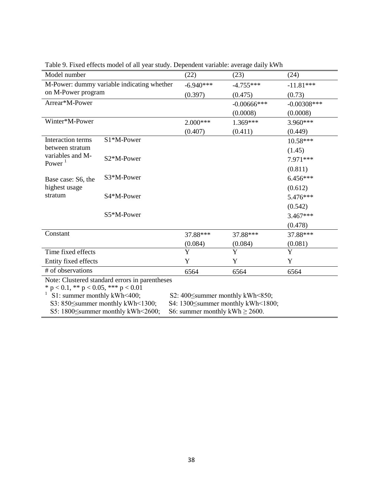| Model number                                 |                                                | (22)                                | (23)           | (24)          |  |  |
|----------------------------------------------|------------------------------------------------|-------------------------------------|----------------|---------------|--|--|
| M-Power: dummy variable indicating whether   |                                                | $-6.940***$                         | $-4.755***$    | $-11.81***$   |  |  |
| on M-Power program                           |                                                | (0.397)                             | (0.475)        | (0.73)        |  |  |
| Arrear*M-Power                               |                                                |                                     | $-0.00666$ *** | $-0.00308***$ |  |  |
|                                              |                                                |                                     | (0.0008)       | (0.0008)      |  |  |
| Winter*M-Power                               |                                                | $2.000***$                          | $1.369***$     | 3.960***      |  |  |
|                                              |                                                | (0.407)                             | (0.411)        | (0.449)       |  |  |
| Interaction terms                            | S1*M-Power                                     |                                     |                | 10.58***      |  |  |
| between stratum                              |                                                |                                     |                | (1.45)        |  |  |
| variables and M-                             | S2*M-Power                                     |                                     |                | 7.971***      |  |  |
| Power $1$                                    |                                                |                                     |                | (0.811)       |  |  |
|                                              | S3*M-Power                                     |                                     |                | $6.456***$    |  |  |
| Base case: S6, the<br>highest usage          |                                                |                                     |                | (0.612)       |  |  |
| stratum                                      | S4*M-Power                                     |                                     |                | 5.476***      |  |  |
|                                              |                                                |                                     |                | (0.542)       |  |  |
|                                              | S5*M-Power                                     |                                     |                | $3.467***$    |  |  |
|                                              |                                                |                                     |                |               |  |  |
| Constant                                     |                                                |                                     |                | (0.478)       |  |  |
|                                              |                                                | 37.88***                            | 37.88***       | 37.88***      |  |  |
|                                              |                                                | (0.084)                             | (0.084)        | (0.081)       |  |  |
| Time fixed effects                           |                                                | Y                                   | Y              | Y             |  |  |
| Entity fixed effects                         |                                                | Y                                   | Y              | Y             |  |  |
| # of observations                            |                                                | 6564                                | 6564           | 6564          |  |  |
|                                              | Note: Clustered standard errors in parentheses |                                     |                |               |  |  |
| * $p < 0.1$ , ** $p < 0.05$ , *** $p < 0.01$ |                                                |                                     |                |               |  |  |
| S1: summer monthly kWh<400;                  |                                                | S2: 400 Summer monthly kWh < 850;   |                |               |  |  |
|                                              | S3: 850 Summer monthly kWh < 1300;             | S4: 1300 Summer monthly kWh < 1800; |                |               |  |  |

Table 9. Fixed effects model of all year study. Dependent variable: average daily kWh

S5: 1800 $\leq$ summer monthly kWh $\leq$ 2600; S6: summer monthly kWh  $\geq$  2600.